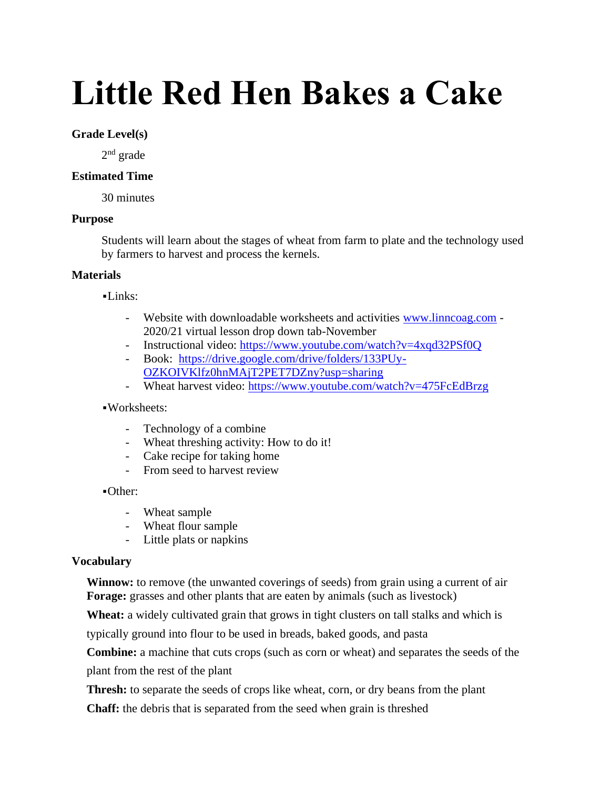# **Little Red Hen Bakes a Cake**

## **Grade Level(s)**

2<sup>nd</sup> grade

# **Estimated Time**

30 minutes

# **Purpose**

Students will learn about the stages of wheat from farm to plate and the technology used by farmers to harvest and process the kernels.

# **Materials**

 $-Links:$ 

- Website with downloadable worksheets and activities [www.linncoag.com](http://www.linncoag.com/) 2020/21 virtual lesson drop down tab-November
- Instructional video:<https://www.youtube.com/watch?v=4xqd32PSf0Q>
- Book: [https://drive.google.com/drive/folders/133PUy-](https://drive.google.com/drive/folders/133PUy-OZKOIVKlfz0hnMAjT2PET7DZny?usp=sharing)[OZKOIVKlfz0hnMAjT2PET7DZny?usp=sharing](https://drive.google.com/drive/folders/133PUy-OZKOIVKlfz0hnMAjT2PET7DZny?usp=sharing)
- Wheat harvest video:<https://www.youtube.com/watch?v=475FcEdBrzg>

### ▪Worksheets:

- Technology of a combine
- Wheat threshing activity: How to do it!
- Cake recipe for taking home
- From seed to harvest review

### ▪Other:

- Wheat sample
- Wheat flour sample
- Little plats or napkins

### **Vocabulary**

**Winnow:** to remove (the unwanted coverings of seeds) from grain using a current of air **Forage:** grasses and other plants that are eaten by animals (such as livestock)

**Wheat:** a widely cultivated grain that grows in tight clusters on tall stalks and which is

typically ground into flour to be used in breads, baked goods, and pasta

**Combine:** a machine that cuts crops (such as corn or wheat) and separates the seeds of the

plant from the rest of the plant

**Thresh:** to separate the seeds of crops like wheat, corn, or dry beans from the plant

**Chaff:** the debris that is separated from the seed when grain is threshed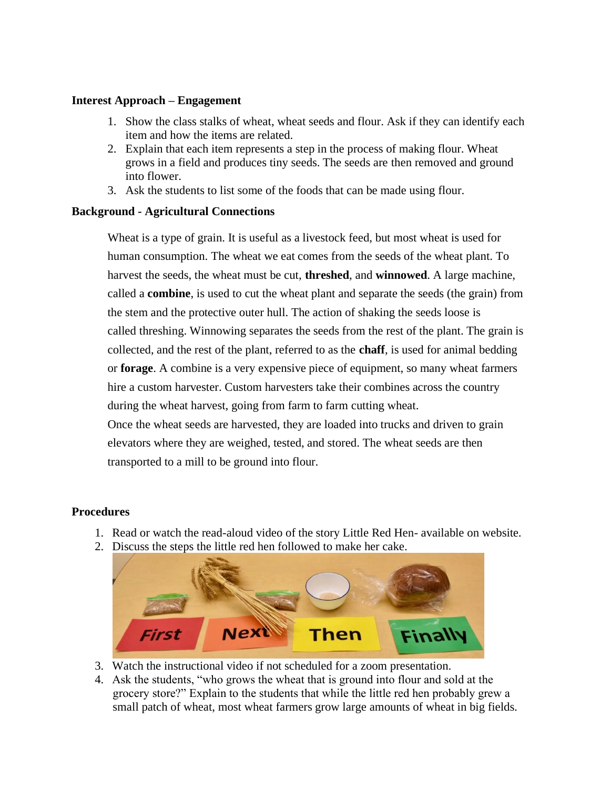### **Interest Approach – Engagement**

- 1. Show the class stalks of wheat, wheat seeds and flour. Ask if they can identify each item and how the items are related.
- 2. Explain that each item represents a step in the process of making flour. Wheat grows in a field and produces tiny seeds. The seeds are then removed and ground into flower.
- 3. Ask the students to list some of the foods that can be made using flour.

# **Background - Agricultural Connections**

Wheat is a type of grain. It is useful as a livestock feed, but most wheat is used for human consumption. The wheat we eat comes from the seeds of the wheat plant. To harvest the seeds, the wheat must be cut, **threshed**, and **winnowed**. A large machine, called a **combine**, is used to cut the wheat plant and separate the seeds (the grain) from the stem and the protective outer hull. The action of shaking the seeds loose is called threshing. Winnowing separates the seeds from the rest of the plant. The grain is collected, and the rest of the plant, referred to as the **chaff**, is used for animal bedding or **forage**. A combine is a very expensive piece of equipment, so many wheat farmers hire a custom harvester. Custom harvesters take their combines across the country during the wheat harvest, going from farm to farm cutting wheat. Once the wheat seeds are harvested, they are loaded into trucks and driven to grain

elevators where they are weighed, tested, and stored. The wheat seeds are then transported to a mill to be ground into flour.

# **Procedures**

- 1. Read or watch the read-aloud video of the story Little Red Hen- available on website.
- 2. Discuss the steps the little red hen followed to make her cake.



- 3. Watch the instructional video if not scheduled for a zoom presentation.
- 4. Ask the students, "who grows the wheat that is ground into flour and sold at the grocery store?" Explain to the students that while the little red hen probably grew a small patch of wheat, most wheat farmers grow large amounts of wheat in big fields.